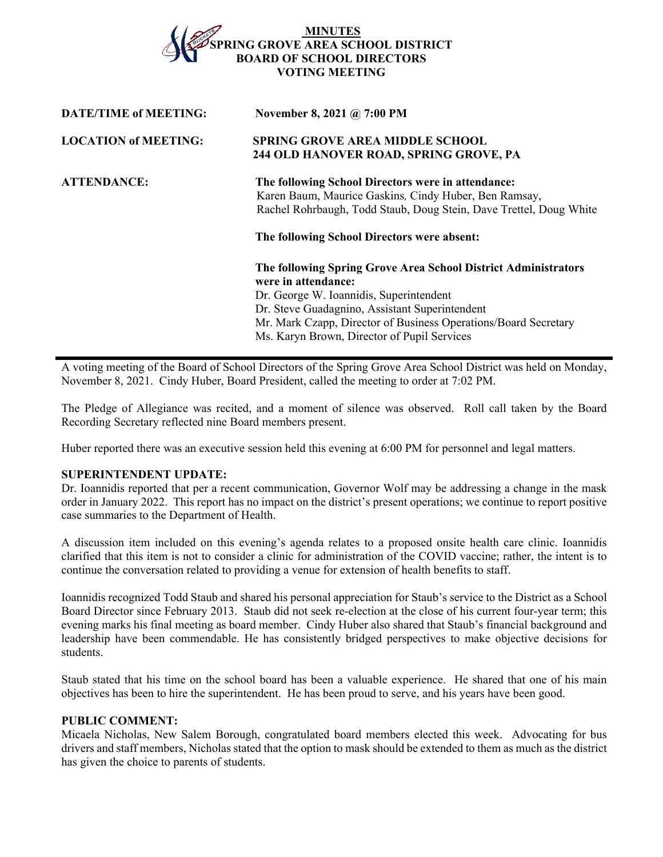# **MINUTES SPRING GROVE AREA SCHOOL DISTRICT D OF SCHOOL DIRECTORS VOTING MEETING**

| <b>DATE/TIME of MEETING:</b> | November 8, 2021 @ 7:00 PM                                                                                                                                                                                                                                                                           |
|------------------------------|------------------------------------------------------------------------------------------------------------------------------------------------------------------------------------------------------------------------------------------------------------------------------------------------------|
| <b>LOCATION of MEETING:</b>  | <b>SPRING GROVE AREA MIDDLE SCHOOL</b><br>244 OLD HANOVER ROAD, SPRING GROVE, PA                                                                                                                                                                                                                     |
| <b>ATTENDANCE:</b>           | The following School Directors were in attendance:<br>Karen Baum, Maurice Gaskins, Cindy Huber, Ben Ramsay,<br>Rachel Rohrbaugh, Todd Staub, Doug Stein, Dave Trettel, Doug White<br>The following School Directors were absent:                                                                     |
|                              | The following Spring Grove Area School District Administrators<br>were in attendance:<br>Dr. George W. Ioannidis, Superintendent<br>Dr. Steve Guadagnino, Assistant Superintendent<br>Mr. Mark Czapp, Director of Business Operations/Board Secretary<br>Ms. Karyn Brown, Director of Pupil Services |

A voting meeting of the Board of School Directors of the Spring Grove Area School District was held on Monday, November 8, 2021. Cindy Huber, Board President, called the meeting to order at 7:02 PM.

The Pledge of Allegiance was recited, and a moment of silence was observed. Roll call taken by the Board Recording Secretary reflected nine Board members present.

Huber reported there was an executive session held this evening at 6:00 PM for personnel and legal matters.

#### **SUPERINTENDENT UPDATE:**

Dr. Ioannidis reported that per a recent communication, Governor Wolf may be addressing a change in the mask order in January 2022. This report has no impact on the district's present operations; we continue to report positive case summaries to the Department of Health.

A discussion item included on this evening's agenda relates to a proposed onsite health care clinic. Ioannidis clarified that this item is not to consider a clinic for administration of the COVID vaccine; rather, the intent is to continue the conversation related to providing a venue for extension of health benefits to staff.

Ioannidis recognized Todd Staub and shared his personal appreciation for Staub's service to the District as a School Board Director since February 2013. Staub did not seek re-election at the close of his current four-year term; this evening marks his final meeting as board member. Cindy Huber also shared that Staub's financial background and leadership have been commendable. He has consistently bridged perspectives to make objective decisions for students.

Staub stated that his time on the school board has been a valuable experience. He shared that one of his main objectives has been to hire the superintendent. He has been proud to serve, and his years have been good.

## **PUBLIC COMMENT:**

Micaela Nicholas, New Salem Borough, congratulated board members elected this week. Advocating for bus drivers and staff members, Nicholas stated that the option to mask should be extended to them as much as the district has given the choice to parents of students.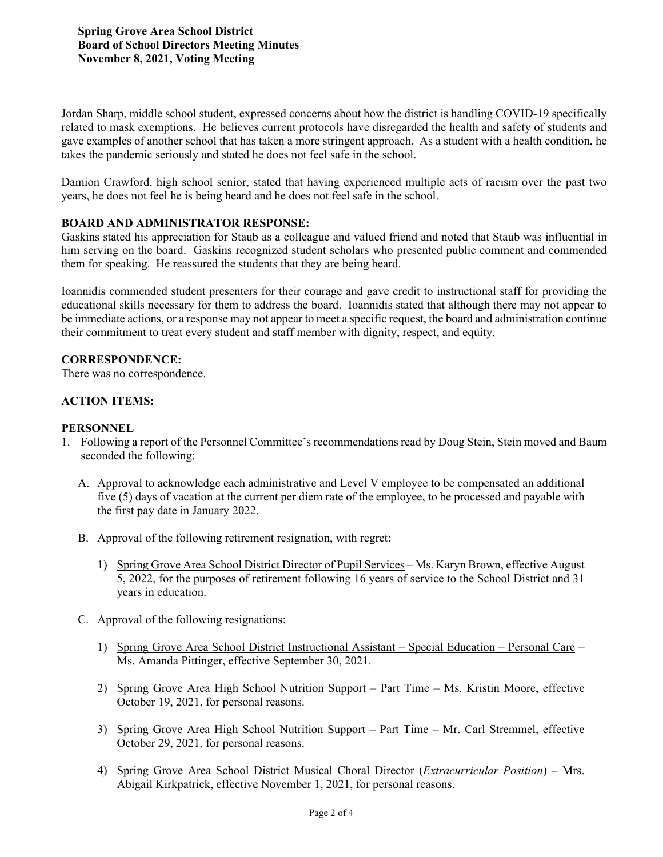Jordan Sharp, middle school student, expressed concerns about how the district is handling COVID-19 specifically related to mask exemptions. He believes current protocols have disregarded the health and safety of students and gave examples of another school that has taken a more stringent approach. As a student with a health condition, he takes the pandemic seriously and stated he does not feel safe in the school.

Damion Crawford, high school senior, stated that having experienced multiple acts of racism over the past two years, he does not feel he is being heard and he does not feel safe in the school.

### **BOARD AND ADMINISTRATOR RESPONSE:**

Gaskins stated his appreciation for Staub as a colleague and valued friend and noted that Staub was influential in him serving on the board. Gaskins recognized student scholars who presented public comment and commended them for speaking. He reassured the students that they are being heard.

Ioannidis commended student presenters for their courage and gave credit to instructional staff for providing the educational skills necessary for them to address the board. Ioannidis stated that although there may not appear to be immediate actions, or a response may not appear to meet a specific request, the board and administration continue their commitment to treat every student and staff member with dignity, respect, and equity.

#### **CORRESPONDENCE:**

There was no correspondence.

### **ACTION ITEMS:**

### **PERSONNEL**

- 1. Following a report of the Personnel Committee's recommendations read by Doug Stein, Stein moved and Baum seconded the following:
	- A. Approval to acknowledge each administrative and Level V employee to be compensated an additional five (5) days of vacation at the current per diem rate of the employee, to be processed and payable with the first pay date in January 2022.
	- B. Approval of the following retirement resignation, with regret:
		- 1) Spring Grove Area School District Director of Pupil Services Ms. Karyn Brown, effective August 5, 2022, for the purposes of retirement following 16 years of service to the School District and 31 years in education.
	- C. Approval of the following resignations:
		- 1) Spring Grove Area School District Instructional Assistant Special Education Personal Care Ms. Amanda Pittinger, effective September 30, 2021.
		- 2) Spring Grove Area High School Nutrition Support Part Time Ms. Kristin Moore, effective October 19, 2021, for personal reasons.
		- 3) Spring Grove Area High School Nutrition Support Part Time Mr. Carl Stremmel, effective October 29, 2021, for personal reasons.
		- 4) Spring Grove Area School District Musical Choral Director (*Extracurricular Position*) Mrs. Abigail Kirkpatrick, effective November 1, 2021, for personal reasons.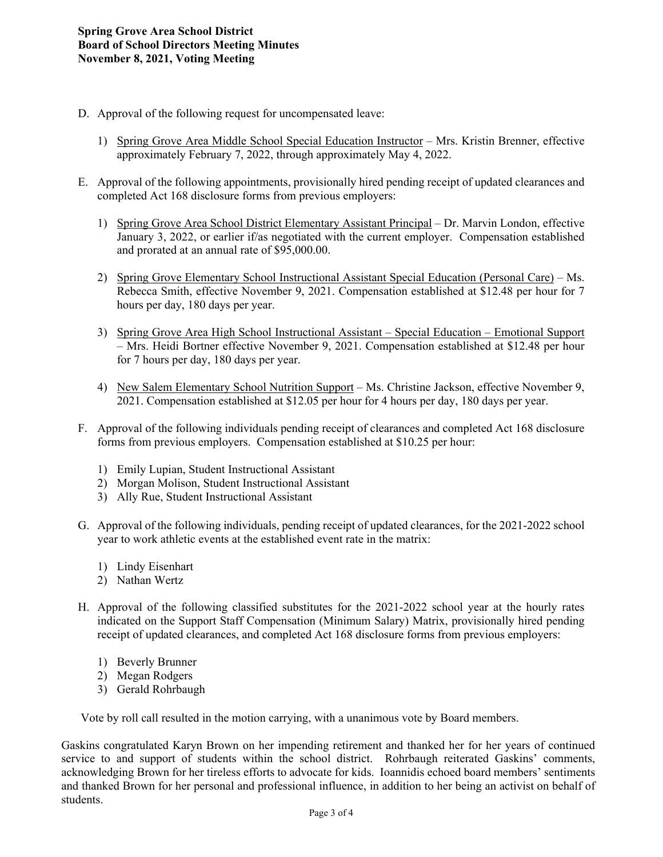- D. Approval of the following request for uncompensated leave:
	- 1) Spring Grove Area Middle School Special Education Instructor Mrs. Kristin Brenner, effective approximately February 7, 2022, through approximately May 4, 2022.
- E. Approval of the following appointments, provisionally hired pending receipt of updated clearances and completed Act 168 disclosure forms from previous employers:
	- 1) Spring Grove Area School District Elementary Assistant Principal Dr. Marvin London, effective January 3, 2022, or earlier if/as negotiated with the current employer. Compensation established and prorated at an annual rate of \$95,000.00.
	- 2) Spring Grove Elementary School Instructional Assistant Special Education (Personal Care) Ms. Rebecca Smith, effective November 9, 2021. Compensation established at \$12.48 per hour for 7 hours per day, 180 days per year.
	- 3) Spring Grove Area High School Instructional Assistant Special Education Emotional Support – Mrs. Heidi Bortner effective November 9, 2021. Compensation established at \$12.48 per hour for 7 hours per day, 180 days per year.
	- 4) New Salem Elementary School Nutrition Support Ms. Christine Jackson, effective November 9, 2021. Compensation established at \$12.05 per hour for 4 hours per day, 180 days per year.
- F. Approval of the following individuals pending receipt of clearances and completed Act 168 disclosure forms from previous employers. Compensation established at \$10.25 per hour:
	- 1) Emily Lupian, Student Instructional Assistant
	- 2) Morgan Molison, Student Instructional Assistant
	- 3) Ally Rue, Student Instructional Assistant
- G. Approval of the following individuals, pending receipt of updated clearances, for the 2021-2022 school year to work athletic events at the established event rate in the matrix:
	- 1) Lindy Eisenhart
	- 2) Nathan Wertz
- H. Approval of the following classified substitutes for the 2021-2022 school year at the hourly rates indicated on the Support Staff Compensation (Minimum Salary) Matrix, provisionally hired pending receipt of updated clearances, and completed Act 168 disclosure forms from previous employers:
	- 1) Beverly Brunner
	- 2) Megan Rodgers
	- 3) Gerald Rohrbaugh

Vote by roll call resulted in the motion carrying, with a unanimous vote by Board members.

Gaskins congratulated Karyn Brown on her impending retirement and thanked her for her years of continued service to and support of students within the school district. Rohrbaugh reiterated Gaskins' comments, acknowledging Brown for her tireless efforts to advocate for kids. Ioannidis echoed board members' sentiments and thanked Brown for her personal and professional influence, in addition to her being an activist on behalf of students.